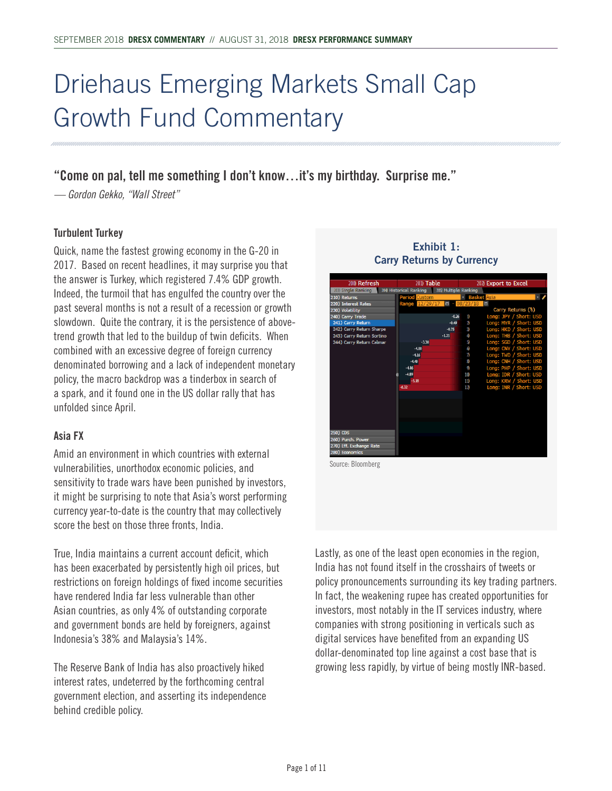## Driehaus Emerging Markets Small Cap Growth Fund Commentary

## **"Come on pal, tell me something I don't know…it's my birthday. Surprise me."**

*— Gordon Gekko, "Wall Street"*

#### **Turbulent Turkey**

Quick, name the fastest growing economy in the G-20 in 2017. Based on recent headlines, it may surprise you that the answer is Turkey, which registered 7.4% GDP growth. Indeed, the turmoil that has engulfed the country over the past several months is not a result of a recession or growth slowdown. Quite the contrary, it is the persistence of abovetrend growth that led to the buildup of twin deficits. When combined with an excessive degree of foreign currency denominated borrowing and a lack of independent monetary policy, the macro backdrop was a tinderbox in search of a spark, and it found one in the US dollar rally that has unfolded since April.

#### **Asia FX**

Amid an environment in which countries with external vulnerabilities, unorthodox economic policies, and sensitivity to trade wars have been punished by investors, it might be surprising to note that Asia's worst performing currency year-to-date is the country that may collectively score the best on those three fronts, India.

True, India maintains a current account deficit, which has been exacerbated by persistently high oil prices, but restrictions on foreign holdings of fixed income securities have rendered India far less vulnerable than other Asian countries, as only 4% of outstanding corporate and government bonds are held by foreigners, against Indonesia's 38% and Malaysia's 14%.

The Reserve Bank of India has also proactively hiked interest rates, undeterred by the forthcoming central government election, and asserting its independence behind credible policy.

#### **Exhibit 1: Carry Returns by Currency**



Lastly, as one of the least open economies in the region, India has not found itself in the crosshairs of tweets or policy pronouncements surrounding its key trading partners. In fact, the weakening rupee has created opportunities for investors, most notably in the IT services industry, where companies with strong positioning in verticals such as digital services have benefited from an expanding US dollar-denominated top line against a cost base that is

growing less rapidly, by virtue of being mostly INR-based.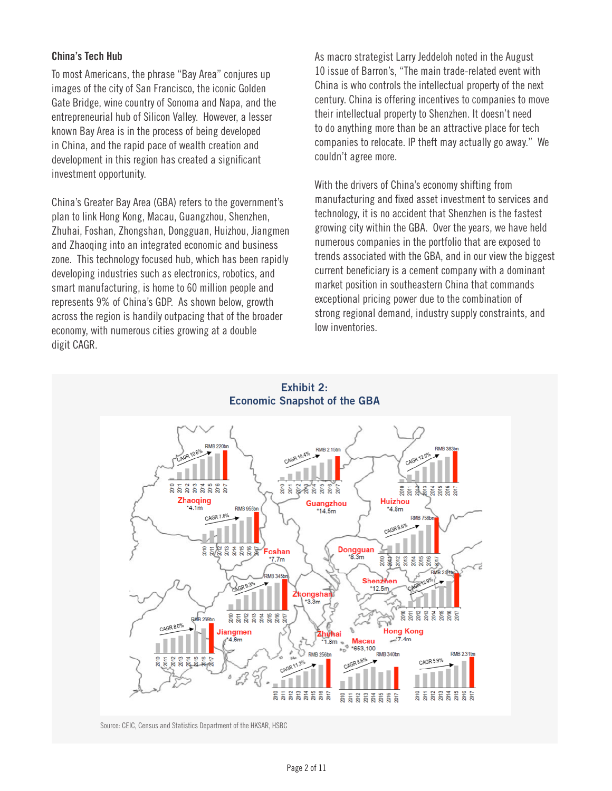#### **China's Tech Hub**

To most Americans, the phrase "Bay Area" conjures up images of the city of San Francisco, the iconic Golden Gate Bridge, wine country of Sonoma and Napa, and the entrepreneurial hub of Silicon Valley. However, a lesser known Bay Area is in the process of being developed in China, and the rapid pace of wealth creation and development in this region has created a significant investment opportunity.

China's Greater Bay Area (GBA) refers to the government's plan to link Hong Kong, Macau, Guangzhou, Shenzhen, Zhuhai, Foshan, Zhongshan, Dongguan, Huizhou, Jiangmen and Zhaoqing into an integrated economic and business zone. This technology focused hub, which has been rapidly developing industries such as electronics, robotics, and smart manufacturing, is home to 60 million people and represents 9% of China's GDP. As shown below, growth across the region is handily outpacing that of the broader economy, with numerous cities growing at a double digit CAGR.

As macro strategist Larry Jeddeloh noted in the August 10 issue of Barron's, "The main trade-related event with China is who controls the intellectual property of the next century. China is offering incentives to companies to move their intellectual property to Shenzhen. It doesn't need to do anything more than be an attractive place for tech companies to relocate. IP theft may actually go away." We couldn't agree more.

With the drivers of China's economy shifting from manufacturing and fixed asset investment to services and technology, it is no accident that Shenzhen is the fastest growing city within the GBA. Over the years, we have held numerous companies in the portfolio that are exposed to trends associated with the GBA, and in our view the biggest current beneficiary is a cement company with a dominant market position in southeastern China that commands exceptional pricing power due to the combination of strong regional demand, industry supply constraints, and low inventories.



Source: CEIC, Census and Statistics Department of the HKSAR, HSBC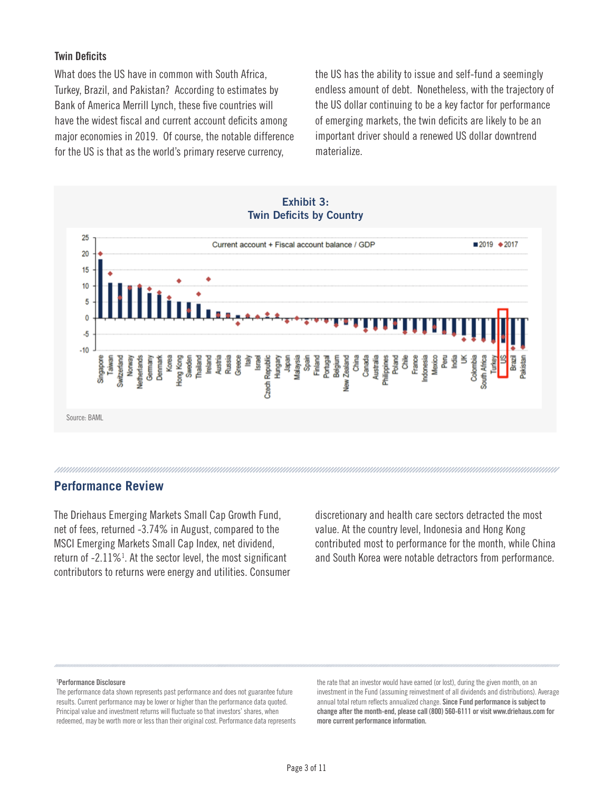#### **Twin Deficits**

What does the US have in common with South Africa, Turkey, Brazil, and Pakistan? According to estimates by Bank of America Merrill Lynch, these five countries will have the widest fiscal and current account deficits among major economies in 2019. Of course, the notable difference for the US is that as the world's primary reserve currency,

the US has the ability to issue and self-fund a seemingly endless amount of debt. Nonetheless, with the trajectory of the US dollar continuing to be a key factor for performance of emerging markets, the twin deficits are likely to be an important driver should a renewed US dollar downtrend materialize.



#### **Performance Review**

The Driehaus Emerging Markets Small Cap Growth Fund, net of fees, returned -3.74% in August, compared to the MSCI Emerging Markets Small Cap Index, net dividend, return of  $-2.11\%$ <sup>1</sup>. At the sector level, the most significant contributors to returns were energy and utilities. Consumer

discretionary and health care sectors detracted the most value. At the country level, Indonesia and Hong Kong contributed most to performance for the month, while China and South Korea were notable detractors from performance.

#### **1 Performance Disclosure**

The performance data shown represents past performance and does not guarantee future results. Current performance may be lower or higher than the performance data quoted. Principal value and investment returns will fluctuate so that investors' shares, when redeemed, may be worth more or less than their original cost. Performance data represents the rate that an investor would have earned (or lost), during the given month, on an investment in the Fund (assuming reinvestment of all dividends and distributions). Average annual total return reflects annualized change. **Since Fund performance is subject to change after the month-end, please call (800) 560-6111 or visit www.driehaus.com for more current performance information.**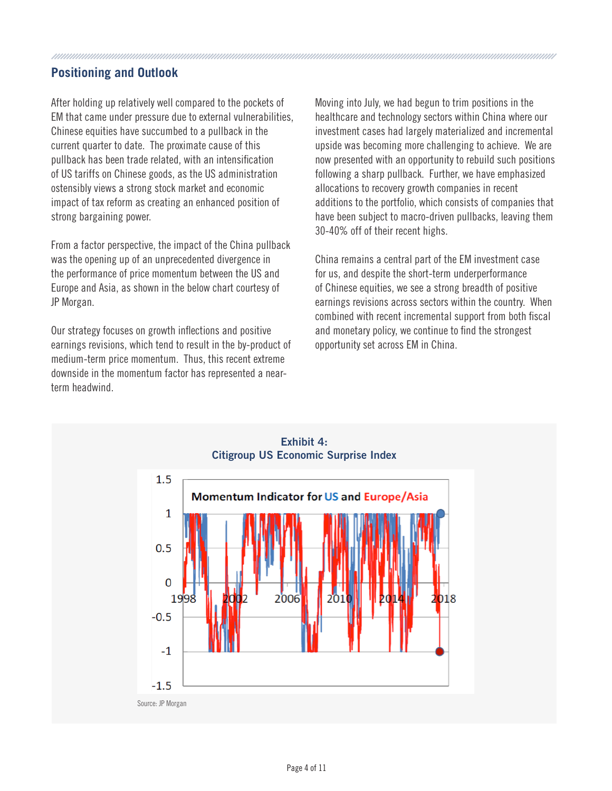### **Positioning and Outlook**

After holding up relatively well compared to the pockets of EM that came under pressure due to external vulnerabilities, Chinese equities have succumbed to a pullback in the current quarter to date. The proximate cause of this pullback has been trade related, with an intensification of US tariffs on Chinese goods, as the US administration ostensibly views a strong stock market and economic impact of tax reform as creating an enhanced position of strong bargaining power.

From a factor perspective, the impact of the China pullback was the opening up of an unprecedented divergence in the performance of price momentum between the US and Europe and Asia, as shown in the below chart courtesy of JP Morgan.

Our strategy focuses on growth inflections and positive earnings revisions, which tend to result in the by-product of medium-term price momentum. Thus, this recent extreme downside in the momentum factor has represented a nearterm headwind.

Moving into July, we had begun to trim positions in the healthcare and technology sectors within China where our investment cases had largely materialized and incremental upside was becoming more challenging to achieve. We are now presented with an opportunity to rebuild such positions following a sharp pullback. Further, we have emphasized allocations to recovery growth companies in recent additions to the portfolio, which consists of companies that have been subject to macro-driven pullbacks, leaving them 30-40% off of their recent highs.

China remains a central part of the EM investment case for us, and despite the short-term underperformance of Chinese equities, we see a strong breadth of positive earnings revisions across sectors within the country. When combined with recent incremental support from both fiscal and monetary policy, we continue to find the strongest opportunity set across EM in China.



**Exhibit 4: Citigroup US Economic Surprise Index**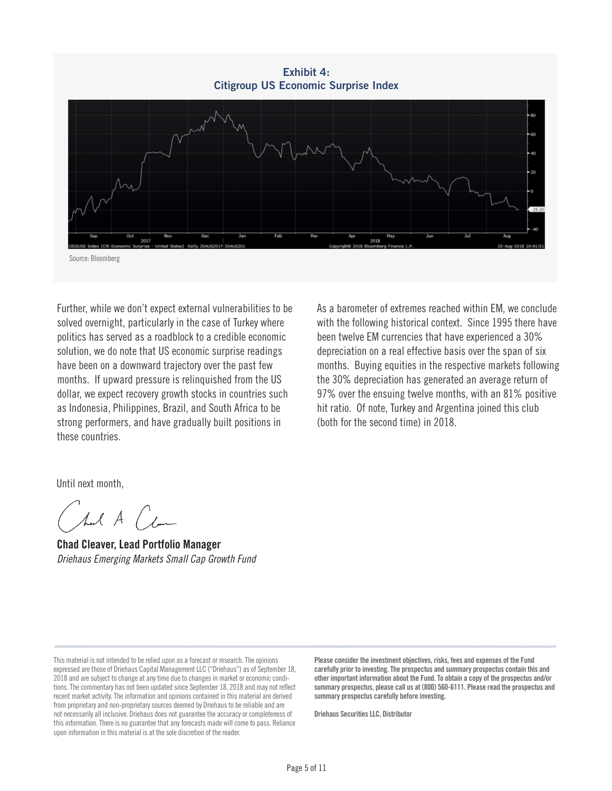**Exhibit 4: Citigroup US Economic Surprise Index** Source: Bloomberg

Further, while we don't expect external vulnerabilities to be solved overnight, particularly in the case of Turkey where politics has served as a roadblock to a credible economic solution, we do note that US economic surprise readings have been on a downward trajectory over the past few months. If upward pressure is relinquished from the US dollar, we expect recovery growth stocks in countries such as Indonesia, Philippines, Brazil, and South Africa to be strong performers, and have gradually built positions in these countries.

As a barometer of extremes reached within EM, we conclude with the following historical context. Since 1995 there have been twelve EM currencies that have experienced a 30% depreciation on a real effective basis over the span of six months. Buying equities in the respective markets following the 30% depreciation has generated an average return of 97% over the ensuing twelve months, with an 81% positive hit ratio. Of note, Turkey and Argentina joined this club (both for the second time) in 2018.

Until next month,

hal A (com

**Chad Cleaver, Lead Portfolio Manager**  *Driehaus Emerging Markets Small Cap Growth Fund*

This material is not intended to be relied upon as a forecast or research. The opinions expressed are those of Driehaus Capital Management LLC ("Driehaus") as of September 18, 2018 and are subject to change at any time due to changes in market or economic conditions. The commentary has not been updated since September 18, 2018 and may not reflect recent market activity. The information and opinions contained in this material are derived from proprietary and non-proprietary sources deemed by Driehaus to be reliable and are not necessarily all inclusive. Driehaus does not guarantee the accuracy or completeness of this information. There is no guarantee that any forecasts made will come to pass. Reliance upon information in this material is at the sole discretion of the reader.

**Please consider the investment objectives, risks, fees and expenses of the Fund carefully prior to investing. The prospectus and summary prospectus contain this and other important information about the Fund. To obtain a copy of the prospectus and/or summary prospectus, please call us at (800) 560-6111. Please read the prospectus and summary prospectus carefully before investing.**

**Driehaus Securities LLC, Distributor**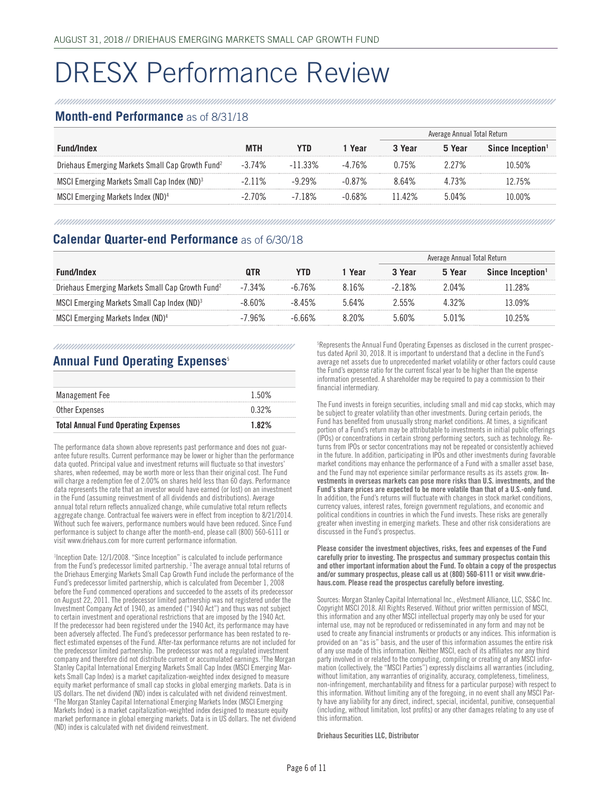## DRESX Performance Review

#### **Month-end Performance** as of 8/31/18

|                                                              |           |         |        | Average Annual Total Return |        |                              |
|--------------------------------------------------------------|-----------|---------|--------|-----------------------------|--------|------------------------------|
| Fund/Index                                                   | MTH       |         | Year   | 3 Year                      | 5 Year | Since Inception <sup>1</sup> |
| Driehaus Emerging Markets Small Cap Growth Fund <sup>2</sup> | $-3.74\%$ | 33%     | 76%    | 0.75%                       |        | በ 50%                        |
| MSCI Emerging Markets Small Cap Index (ND) <sup>3</sup>      |           | । 29%   | -በ 87% | 8 64%                       |        | 2.75%                        |
| MSCI Emerging Markets Index (ND) <sup>4</sup>                | 70%       | $-718%$ | 68%    | 142%                        | 04%    | በበ%                          |

#### **Calendar Quarter-end Performance** as of 6/30/18

|                                                              |        |        |       | Average Annual Total Return |        |                              |
|--------------------------------------------------------------|--------|--------|-------|-----------------------------|--------|------------------------------|
| <b>Fund/Index</b>                                            |        |        | Year  | 3 Year                      | 5 Year | Since Inception <sup>1</sup> |
| Driehaus Emerging Markets Small Cap Growth Fund <sup>2</sup> | -7.34% | -6.76% | ጸ 16% | -2 18%                      | 2 በ4%  | -28%                         |
| MSCI Emerging Markets Small Cap Index (ND) <sup>3</sup>      | -8 60% | -8.45% | 564%  | 2.55%                       | 432%   | 3 በዓ%                        |
| MSCI Emerging Markets Index (ND) <sup>4</sup>                | -7.96% | -6.66% | 8 20% | 5.60%                       | 5.01%  | በ 25%                        |

#### **Annual Fund Operating Expenses**<sup>5</sup>

| Management Fee                              | 1.50% |
|---------------------------------------------|-------|
| Other Expenses                              | 0.32% |
| <b>Total Annual Fund Operating Expenses</b> | 1.82% |

The performance data shown above represents past performance and does not guarantee future results. Current performance may be lower or higher than the performance data quoted. Principal value and investment returns will fluctuate so that investors' shares, when redeemed, may be worth more or less than their original cost. The Fund will charge a redemption fee of 2.00% on shares held less than 60 days. Performance data represents the rate that an investor would have earned (or lost) on an investment in the Fund (assuming reinvestment of all dividends and distributions). Average annual total return reflects annualized change, while cumulative total return reflects aggregate change. Contractual fee waivers were in effect from inception to 8/21/2014. Without such fee waivers, performance numbers would have been reduced. Since Fund performance is subject to change after the month-end, please call (800) 560-6111 or visit www.driehaus.com for more current performance information.

<sup>1</sup>Inception Date: 12/1/2008. "Since Inception" is calculated to include performance from the Fund's predecessor limited partnership. 2 The average annual total returns of the Driehaus Emerging Markets Small Cap Growth Fund include the performance of the Fund's predecessor limited partnership, which is calculated from December 1, 2008 before the Fund commenced operations and succeeded to the assets of its predecessor on August 22, 2011. The predecessor limited partnership was not registered under the Investment Company Act of 1940, as amended ("1940 Act") and thus was not subject to certain investment and operational restrictions that are imposed by the 1940 Act. If the predecessor had been registered under the 1940 Act, its performance may have been adversely affected. The Fund's predecessor performance has been restated to reflect estimated expenses of the Fund. After-tax performance returns are not included for the predecessor limited partnership. The predecessor was not a regulated investment company and therefore did not distribute current or accumulated earnings. 3The Morgan Stanley Capital International Emerging Markets Small Cap Index (MSCI Emerging Markets Small Cap Index) is a market capitalization-weighted index designed to measure equity market performance of small cap stocks in global emerging markets. Data is in US dollars. The net dividend (ND) index is calculated with net dividend reinvestment. 4 The Morgan Stanley Capital International Emerging Markets Index (MSCI Emerging Markets Index) is a market capitalization-weighted index designed to measure equity market performance in global emerging markets. Data is in US dollars. The net dividend (ND) index is calculated with net dividend reinvestment.

5 Represents the Annual Fund Operating Expenses as disclosed in the current prospectus dated April 30, 2018. It is important to understand that a decline in the Fund's average net assets due to unprecedented market volatility or other factors could cause the Fund's expense ratio for the current fiscal year to be higher than the expense information presented. A shareholder may be required to pay a commission to their financial intermediary.

The Fund invests in foreign securities, including small and mid cap stocks, which may be subject to greater volatility than other investments. During certain periods, the Fund has benefited from unusually strong market conditions. At times, a significant portion of a Fund's return may be attributable to investments in initial public offerings (IPOs) or concentrations in certain strong performing sectors, such as technology. Returns from IPOs or sector concentrations may not be repeated or consistently achieved in the future. In addition, participating in IPOs and other investments during favorable market conditions may enhance the performance of a Fund with a smaller asset base, and the Fund may not experience similar performance results as its assets grow. **Investments in overseas markets can pose more risks than U.S. investments, and the Fund's share prices are expected to be more volatile than that of a U.S.-only fund.** In addition, the Fund's returns will fluctuate with changes in stock market conditions, currency values, interest rates, foreign government regulations, and economic and political conditions in countries in which the Fund invests. These risks are generally greater when investing in emerging markets. These and other risk considerations are discussed in the Fund's prospectus.

#### **Please consider the investment objectives, risks, fees and expenses of the Fund carefully prior to investing. The prospectus and summary prospectus contain this and other important information about the Fund. To obtain a copy of the prospectus and/or summary prospectus, please call us at (800) 560-6111 or visit www.driehaus.com. Please read the prospectus carefully before investing.**

Sources: Morgan Stanley Capital International Inc., eVestment Alliance, LLC, SS&C Inc. Copyright MSCI 2018. All Rights Reserved. Without prior written permission of MSCI, this information and any other MSCI intellectual property may only be used for your internal use, may not be reproduced or redisseminated in any form and may not be used to create any financial instruments or products or any indices. This information is provided on an "as is" basis, and the user of this information assumes the entire risk of any use made of this information. Neither MSCI, each of its affiliates nor any third party involved in or related to the computing, compiling or creating of any MSCI information (collectively, the "MSCI Parties") expressly disclaims all warranties (including, without limitation, any warranties of originality, accuracy, completeness, timeliness, non-infringement, merchantability and fitness for a particular purpose) with respect to this information. Without limiting any of the foregoing, in no event shall any MSCI Party have any liability for any direct, indirect, special, incidental, punitive, consequential (including, without limitation, lost profits) or any other damages relating to any use of this information.

**Driehaus Securities LLC, Distributor**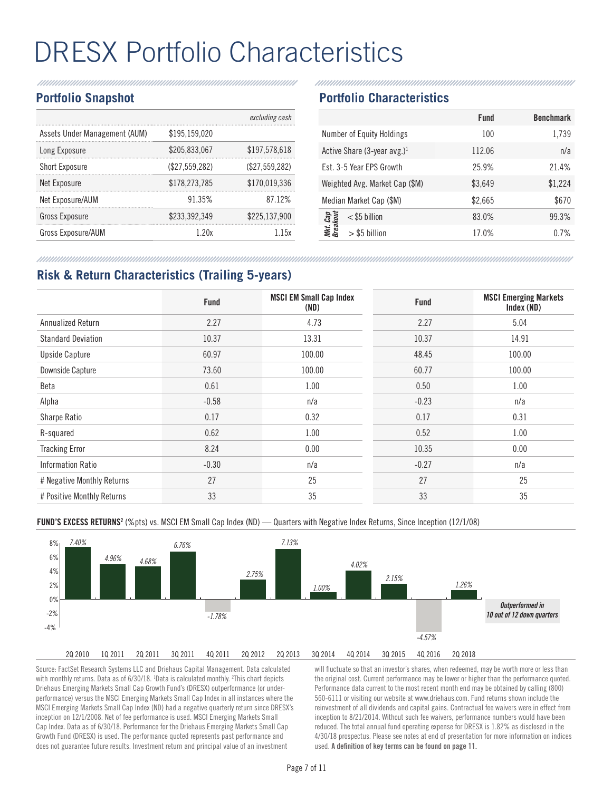# DRESX Portfolio Characteristics

#### **Portfolio Snapshot**

|                               |                | excluding cash |
|-------------------------------|----------------|----------------|
| Assets Under Management (AUM) | \$195,159,020  |                |
| Long Exposure                 | \$205,833,067  | \$197,578,618  |
| <b>Short Exposure</b>         | (\$27.559.282) | (\$27,559,282) |
| Net Exposure                  | \$178.273.785  | \$170,019,336  |
| Net Exposure/AUM              | 91.35%         | 87.12%         |
| Gross Exposure                | \$233,392,349  | \$225,137,900  |
| Gross Exposure/AUM            |                | .15x           |

#### **Portfolio Characteristics**

|                                         | Fund    | <b>Benchmark</b> |
|-----------------------------------------|---------|------------------|
| <b>Number of Equity Holdings</b>        | 100     | 1,739            |
| Active Share (3-year avg.) <sup>1</sup> | 112.06  | n/a              |
| Est. 3-5 Year EPS Growth                | 25.9%   | 21.4%            |
| Weighted Avg. Market Cap (\$M)          | \$3,649 | \$1,224          |
| Median Market Cap (\$M)                 | \$2,665 | \$670            |
| Mkt. Cap<br>Breakout<br>$<$ \$5 billion | 83.0%   | 99.3%            |
| $>$ \$5 billion                         | 17.0%   | 0.7%             |

## **Risk & Return Characteristics (Trailing 5-years)**

|                            | <b>Fund</b> | <b>MSCI EM Small Cap Index</b><br>(ND) | <b>Fund</b> | <b>MSCI Emerging Markets</b><br>Index (ND) |
|----------------------------|-------------|----------------------------------------|-------------|--------------------------------------------|
| Annualized Return          | 2.27        | 4.73                                   | 2.27        | 5.04                                       |
| <b>Standard Deviation</b>  | 10.37       | 13.31                                  | 10.37       | 14.91                                      |
| <b>Upside Capture</b>      | 60.97       | 100.00                                 | 48.45       | 100.00                                     |
| Downside Capture           | 73.60       | 100.00                                 | 60.77       | 100.00                                     |
| Beta                       | 0.61        | 1.00                                   | 0.50        | 1.00                                       |
| Alpha                      | $-0.58$     | n/a                                    | $-0.23$     | n/a                                        |
| Sharpe Ratio               | 0.17        | 0.32                                   | 0.17        | 0.31                                       |
| R-squared                  | 0.62        | 1.00                                   | 0.52        | 1.00                                       |
| <b>Tracking Error</b>      | 8.24        | 0.00                                   | 10.35       | 0.00                                       |
| <b>Information Ratio</b>   | $-0.30$     | n/a                                    | $-0.27$     | n/a                                        |
| # Negative Monthly Returns | 27          | 25                                     | 27          | 25                                         |
| # Positive Monthly Returns | 33          | 35                                     | 33          | 35                                         |

**FUND'S EXCESS RETURNS<sup>2</sup> (%**pts) vs. MSCI EM Small Cap Index (ND) — Quarters with Negative Index Returns, Since Inception (12/1/08)



Source: FactSet Research Systems LLC and Driehaus Capital Management. Data calculated with monthly returns. Data as of 6/30/18. <sup>1</sup>Data is calculated monthly. <sup>2</sup>This chart depicts Driehaus Emerging Markets Small Cap Growth Fund's (DRESX) outperformance (or underperformance) versus the MSCI Emerging Markets Small Cap Index in all instances where the MSCI Emerging Markets Small Cap Index (ND) had a negative quarterly return since DRESX's inception on 12/1/2008. Net of fee performance is used. MSCI Emerging Markets Small Cap Index. Data as of 6/30/18. Performance for the Driehaus Emerging Markets Small Cap Growth Fund (DRESX) is used. The performance quoted represents past performance and does not guarantee future results. Investment return and principal value of an investment

will fluctuate so that an investor's shares, when redeemed, may be worth more or less than the original cost. Current performance may be lower or higher than the performance quoted. Performance data current to the most recent month end may be obtained by calling (800) 560-6111 or visiting our website at www.driehaus.com. Fund returns shown include the reinvestment of all dividends and capital gains. Contractual fee waivers were in effect from inception to 8/21/2014. Without such fee waivers, performance numbers would have been reduced. The total annual fund operating expense for DRESX is 1.82% as disclosed in the 4/30/18 prospectus. Please see notes at end of presentation for more information on indices used. **A definition of key terms can be found on page 11.**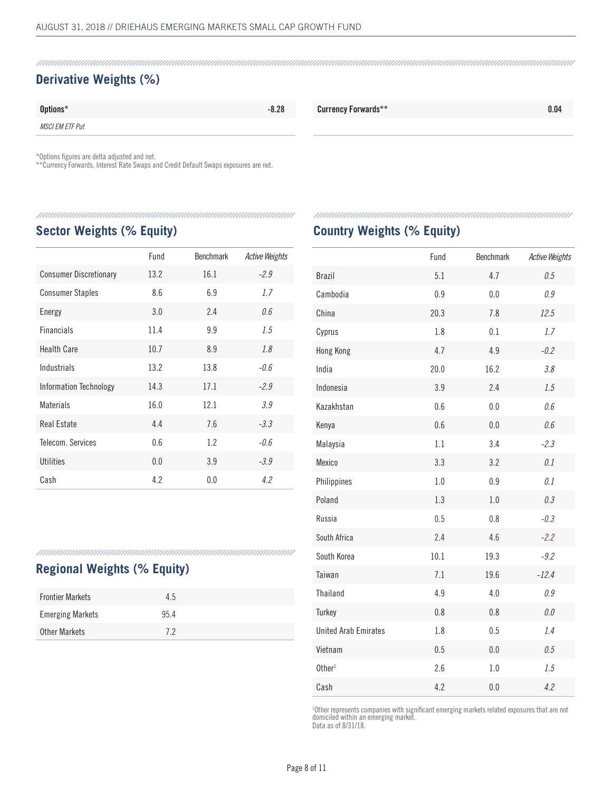## **Derivative Weights (%)**

| Options*               | $-8.28$ | <b>Currency Forwards**</b> | 0.04 |
|------------------------|---------|----------------------------|------|
| <i>MSCI EM ETF Put</i> |         |                            |      |

\*Options figures are delta adjusted and net.

\*\*Currency Forwards, Interest Rate Swaps and Credit Default Swaps exposures are net.

#### 

#### **Sector Weights (% Equity)**

|                               | Fund | <b>Benchmark</b> | <b>Active Weights</b> |
|-------------------------------|------|------------------|-----------------------|
| <b>Consumer Discretionary</b> | 13.2 | 16.1             | $-2.9$                |
| <b>Consumer Staples</b>       | 8.6  | 6.9              | 1.7                   |
| Energy                        | 3.0  | 2.4              | 0.6                   |
| <b>Financials</b>             | 11.4 | 9.9              | 1.5                   |
| Health Care                   | 10.7 | 8.9              | 1.8                   |
| Industrials                   | 13.2 | 13.8             | $-0.6$                |
| <b>Information Technology</b> | 14.3 | 17.1             | $-2.9$                |
| <b>Materials</b>              | 16.0 | 12.1             | 3.9                   |
| Real Estate                   | 4.4  | 7.6              | $-3.3$                |
| Telecom, Services             | 0.6  | 1.2              | $-0.6$                |
| Utilities                     | 0.0  | 3.9              | $-3.9$                |
| Cash                          | 4.2  | 0.0              | 4.2                   |

## **Regional Weights (% Equity)**

| <b>Frontier Markets</b> | 4.5  |  |
|-------------------------|------|--|
| <b>Emerging Markets</b> | 95.4 |  |
| Other Markets           | 72   |  |

#### 

### **Country Weights (% Equity)**

|                             | Fund | Benchmark | <b>Active Weights</b> |
|-----------------------------|------|-----------|-----------------------|
| <b>Brazil</b>               | 5.1  | 4.7       | 0.5                   |
| Cambodia                    | 0.9  | 0.0       | 0.9                   |
| China                       | 20.3 | 7.8       | 12.5                  |
| Cyprus                      | 1.8  | 0.1       | 1.7                   |
| Hong Kong                   | 4.7  | 4.9       | $-0.2$                |
| India                       | 20.0 | 16.2      | 3.8                   |
| Indonesia                   | 3.9  | 2.4       | 1.5                   |
| Kazakhstan                  | 0.6  | 0.0       | 0.6                   |
| Kenya                       | 0.6  | 0.0       | 0.6                   |
| Malaysia                    | 1.1  | 3.4       | $-2.3$                |
| Mexico                      | 3.3  | 3.2       | 0.1                   |
| Philippines                 | 1.0  | 0.9       | 0.1                   |
| Poland                      | 1.3  | 1.0       | 0.3                   |
| Russia                      | 0.5  | 0.8       | $-0.3$                |
| South Africa                | 2.4  | 4.6       | $-2.2$                |
| South Korea                 | 10.1 | 19.3      | $-9.2$                |
| Taiwan                      | 7.1  | 19.6      | $-12.4$               |
| Thailand                    | 4.9  | 4.0       | 0.9                   |
| Turkey                      | 0.8  | 0.8       | 0.0                   |
| <b>United Arab Emirates</b> | 1.8  | 0.5       | 1.4                   |
| Vietnam                     | 0.5  | 0.0       | 0.5                   |
| Other <sup>1</sup>          | 2.6  | 1.0       | 1.5                   |
| Cash                        | 4.2  | 0.0       | 4.2                   |

1 Other represents companies with significant emerging markets related exposures that are not domiciled within an emerging market.

Data as of 8/31/18.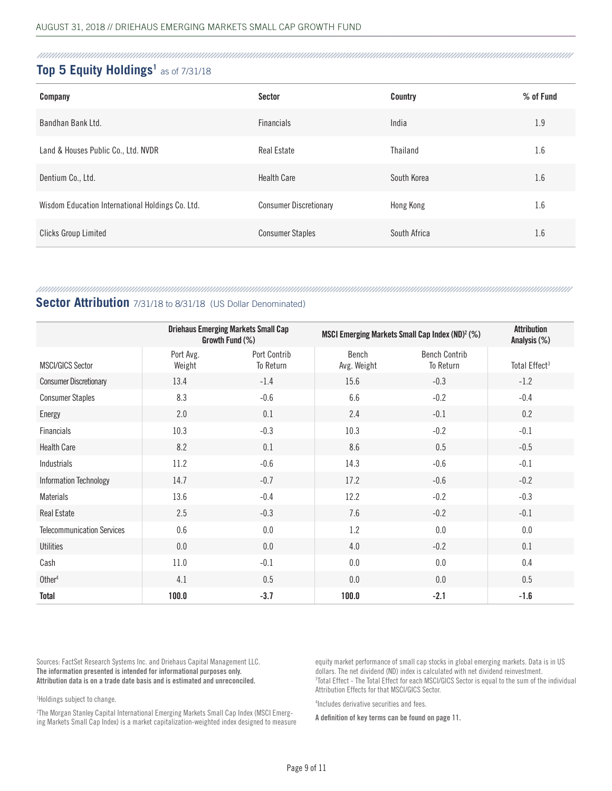#### Top 5 Equity Holdings<sup>1</sup> as of 7/31/18

| Company                                          | Sector                        | Country      | % of Fund |
|--------------------------------------------------|-------------------------------|--------------|-----------|
| Bandhan Bank Ltd.                                | <b>Financials</b>             | India        | 1.9       |
| Land & Houses Public Co., Ltd. NVDR              | Real Estate                   | Thailand     | 1.6       |
| Dentium Co., Ltd.                                | <b>Health Care</b>            | South Korea  | 1.6       |
| Wisdom Education International Holdings Co. Ltd. | <b>Consumer Discretionary</b> | Hong Kong    | 1.6       |
| <b>Clicks Group Limited</b>                      | <b>Consumer Staples</b>       | South Africa | 1.6       |

#### 

#### **Sector Attribution** 7/31/18 to 8/31/18 (US Dollar Denominated)

|                                   |                     | <b>Driehaus Emerging Markets Small Cap</b><br>Growth Fund (%) |                      | MSCI Emerging Markets Small Cap Index (ND) <sup>2</sup> (%) |                           |
|-----------------------------------|---------------------|---------------------------------------------------------------|----------------------|-------------------------------------------------------------|---------------------------|
| <b>MSCI/GICS Sector</b>           | Port Avg.<br>Weight | Port Contrib<br>To Return                                     | Bench<br>Avg. Weight | <b>Bench Contrib</b><br>To Return                           | Total Effect <sup>3</sup> |
| <b>Consumer Discretionary</b>     | 13.4                | $-1.4$                                                        | 15.6                 | $-0.3$                                                      | $-1.2$                    |
| <b>Consumer Staples</b>           | 8.3                 | $-0.6$                                                        | 6.6                  | $-0.2$                                                      | $-0.4$                    |
| Energy                            | 2.0                 | 0.1                                                           | 2.4                  | $-0.1$                                                      | 0.2                       |
| Financials                        | 10.3                | $-0.3$                                                        | 10.3                 | $-0.2$                                                      | $-0.1$                    |
| <b>Health Care</b>                | 8.2                 | 0.1                                                           | 8.6                  | 0.5                                                         | $-0.5$                    |
| Industrials                       | 11.2                | $-0.6$                                                        | 14.3                 | $-0.6$                                                      | $-0.1$                    |
| Information Technology            | 14.7                | $-0.7$                                                        | 17.2                 | $-0.6$                                                      | $-0.2$                    |
| Materials                         | 13.6                | $-0.4$                                                        | 12.2                 | $-0.2$                                                      | $-0.3$                    |
| <b>Real Estate</b>                | 2.5                 | $-0.3$                                                        | 7.6                  | $-0.2$                                                      | $-0.1$                    |
| <b>Telecommunication Services</b> | 0.6                 | 0.0                                                           | 1.2                  | 0.0                                                         | $0.0\,$                   |
| <b>Utilities</b>                  | 0.0                 | 0.0                                                           | 4.0                  | $-0.2$                                                      | 0.1                       |
| Cash                              | 11.0                | $-0.1$                                                        | 0.0                  | 0.0                                                         | 0.4                       |
| Other <sup>4</sup>                | 4.1                 | 0.5                                                           | 0.0                  | 0.0                                                         | 0.5                       |
| <b>Total</b>                      | 100.0               | $-3.7$                                                        | 100.0                | $-2.1$                                                      | $-1.6$                    |

Sources: FactSet Research Systems Inc. and Driehaus Capital Management LLC. **The information presented is intended for informational purposes only. Attribution data is on a trade date basis and is estimated and unreconciled.**

1 Holdings subject to change.

2 The Morgan Stanley Capital International Emerging Markets Small Cap Index (MSCI Emerging Markets Small Cap Index) is a market capitalization-weighted index designed to measure

equity market performance of small cap stocks in global emerging markets. Data is in US dollars. The net dividend (ND) index is calculated with net dividend reinvestment. 3 Total Effect - The Total Effect for each MSCI/GICS Sector is equal to the sum of the individual Attribution Effects for that MSCI/GICS Sector.

4 Includes derivative securities and fees.

**A definition of key terms can be found on page 11.**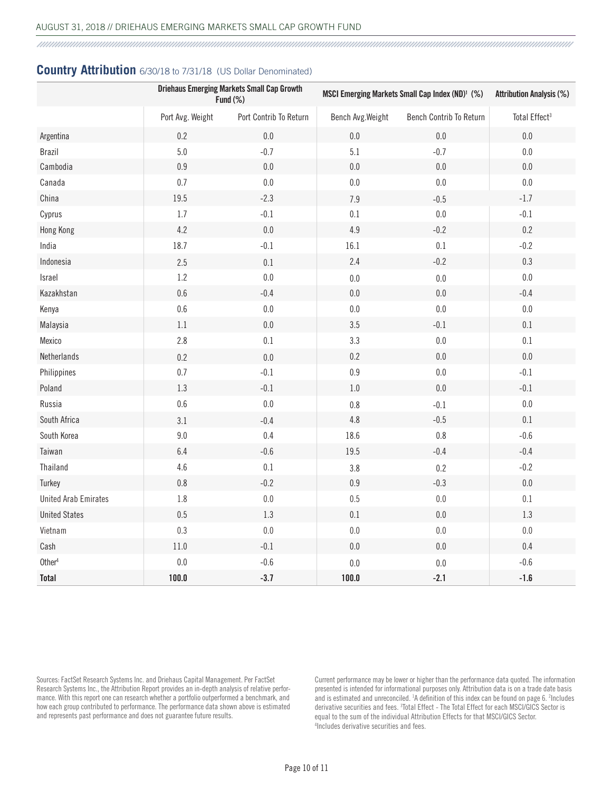#### **Country Attribution** 6/30/18 to 7/31/18 (US Dollar Denominated)

|                             | <b>Driehaus Emerging Markets Small Cap Growth</b><br>Fund $(\%)$ |                        | MSCI Emerging Markets Small Cap Index (ND) <sup>1</sup> (%) |                         | <b>Attribution Analysis (%)</b> |
|-----------------------------|------------------------------------------------------------------|------------------------|-------------------------------------------------------------|-------------------------|---------------------------------|
|                             | Port Avg. Weight                                                 | Port Contrib To Return | Bench Avg. Weight                                           | Bench Contrib To Return | Total Effect <sup>3</sup>       |
| Argentina                   | 0.2                                                              | $0.0\,$                | $0.0\,$                                                     | $0.0\,$                 | $0.0\,$                         |
| <b>Brazil</b>               | 5.0                                                              | $-0.7$                 | 5.1                                                         | $-0.7$                  | $0.0\,$                         |
| Cambodia                    | 0.9                                                              | $0.0\,$                | $0.0\,$                                                     | $0.0\,$                 | $0.0\,$                         |
| Canada                      | $0.7\,$                                                          | $0.0\,$                | $0.0\,$                                                     | $0.0\,$                 | $0.0\,$                         |
| China                       | 19.5                                                             | $-2.3$                 | 7.9                                                         | $-0.5$                  | $-1.7$                          |
| Cyprus                      | 1.7                                                              | $-0.1$                 | $0.1\,$                                                     | $0.0\,$                 | $-0.1$                          |
| Hong Kong                   | 4.2                                                              | $0.0\,$                | $4.9\,$                                                     | $-0.2$                  | $0.2\,$                         |
| India                       | 18.7                                                             | $-0.1$                 | 16.1                                                        | $0.1\,$                 | $-0.2$                          |
| Indonesia                   | 2.5                                                              | $0.1\,$                | 2.4                                                         | $-0.2$                  | 0.3                             |
| Israel                      | 1.2                                                              | $0.0\,$                | $0.0\,$                                                     | $0.0\,$                 | $0.0\,$                         |
| Kazakhstan                  | 0.6                                                              | $-0.4$                 | $0.0\,$                                                     | $0.0\,$                 | $-0.4$                          |
| Kenya                       | 0.6                                                              | $0.0\,$                | $0.0\,$                                                     | $0.0\,$                 | $0.0\,$                         |
| Malaysia                    | $1.1\,$                                                          | $0.0\,$                | $3.5\,$                                                     | $-0.1$                  | 0.1                             |
| Mexico                      | 2.8                                                              | $0.1\,$                | 3.3                                                         | $0.0\,$                 | $0.1\,$                         |
| Netherlands                 | 0.2                                                              | $0.0\,$                | 0.2                                                         | $0.0\,$                 | $0.0\,$                         |
| Philippines                 | $0.7\,$                                                          | $-0.1$                 | $0.9\,$                                                     | $0.0\,$                 | $-0.1$                          |
| Poland                      | 1.3                                                              | $-0.1$                 | 1.0                                                         | $0.0\,$                 | $-0.1$                          |
| Russia                      | $0.6\,$                                                          | $0.0\,$                | $0.8\,$                                                     | $-0.1$                  | $0.0\,$                         |
| South Africa                | 3.1                                                              | $-0.4$                 | $4.8\,$                                                     | $-0.5$                  | $0.1\,$                         |
| South Korea                 | 9.0                                                              | 0.4                    | 18.6                                                        | $0.8\,$                 | $-0.6$                          |
| Taiwan                      | 6.4                                                              | $-0.6$                 | 19.5                                                        | $-0.4$                  | $-0.4$                          |
| Thailand                    | 4.6                                                              | $0.1\,$                | 3.8                                                         | 0.2                     | $-0.2$                          |
| Turkey                      | $0.8\,$                                                          | $-0.2$                 | $0.9\,$                                                     | $-0.3$                  | $0.0\,$                         |
| <b>United Arab Emirates</b> | 1.8                                                              | $0.0\,$                | $0.5\,$                                                     | $0.0\,$                 | 0.1                             |
| <b>United States</b>        | 0.5                                                              | $1.3\,$                | $0.1\,$                                                     | $0.0\,$                 | 1.3                             |
| Vietnam                     | 0.3                                                              | $0.0\,$                | $0.0\,$                                                     | $0.0\,$                 | $0.0\,$                         |
| Cash                        | $11.0\,$                                                         | $-0.1$                 | $0.0\,$                                                     | $0.0\,$                 | 0.4                             |
| Other <sup>4</sup>          | $0.0\,$                                                          | $-0.6$                 | 0.0                                                         | $0.0\,$                 | $-0.6$                          |
| <b>Total</b>                | 100.0                                                            | $-3.7$                 | 100.0                                                       | $-2.1$                  | $-1.6$                          |

Sources: FactSet Research Systems Inc. and Driehaus Capital Management. Per FactSet Research Systems Inc., the Attribution Report provides an in-depth analysis of relative performance. With this report one can research whether a portfolio outperformed a benchmark, and how each group contributed to performance. The performance data shown above is estimated and represents past performance and does not guarantee future results.

Current performance may be lower or higher than the performance data quoted. The information presented is intended for informational purposes only. Attribution data is on a trade date basis and is estimated and unreconciled. <sup>1</sup>A definition of this index can be found on page 6. <sup>2</sup>Includes derivative securities and fees. <sup>3</sup>Total Effect - The Total Effect for each MSCI/GICS Sector is equal to the sum of the individual Attribution Effects for that MSCI/GICS Sector. 4 Includes derivative securities and fees.